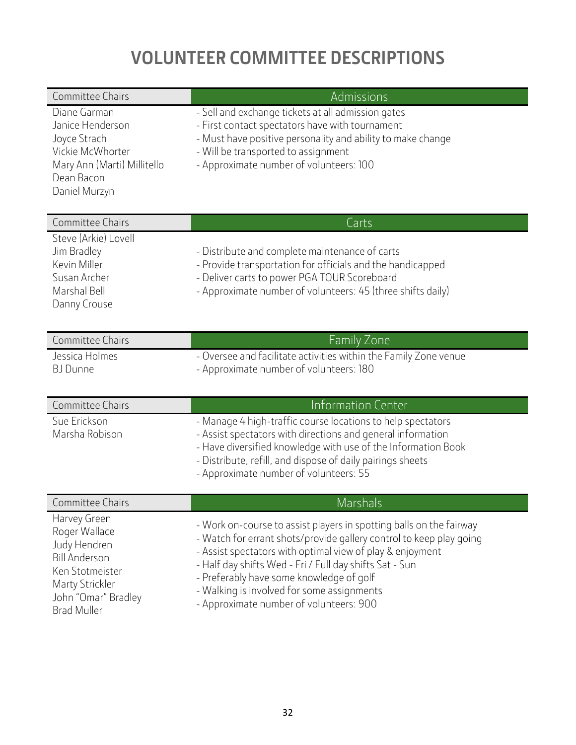## **VOLUNTEER COMMITTEE DESCRIPTIONS**

| Committee Chairs                                                                                                                   | <b>Admissions</b>                                                                                                                                                                                                                                      |
|------------------------------------------------------------------------------------------------------------------------------------|--------------------------------------------------------------------------------------------------------------------------------------------------------------------------------------------------------------------------------------------------------|
| Diane Garman<br>Janice Henderson<br>Joyce Strach<br>Vickie McWhorter<br>Mary Ann (Marti) Millitello<br>Dean Bacon<br>Daniel Murzyn | - Sell and exchange tickets at all admission gates<br>- First contact spectators have with tournament<br>- Must have positive personality and ability to make change<br>- Will be transported to assignment<br>- Approximate number of volunteers: 100 |
| Committee Chairs                                                                                                                   | Carts                                                                                                                                                                                                                                                  |

| Steve (Arkie) Lovell |                                                             |
|----------------------|-------------------------------------------------------------|
| Jim Bradley          | - Distribute and complete maintenance of carts              |
| Kevin Miller         | - Provide transportation for officials and the handicapped  |
| Susan Archer         | - Deliver carts to power PGA TOUR Scoreboard                |
| Marshal Bell         | - Approximate number of volunteers: 45 (three shifts daily) |
| Danny Crouse         |                                                             |

| Committee Chairs | Family Zone                                                      |
|------------------|------------------------------------------------------------------|
| Jessica Holmes   | - Oversee and facilitate activities within the Family Zone venue |
| BJ Dunne         | - Approximate number of volunteers: 180                          |

| Committee Chairs               | Information Center                                                                                                                                                                                                                                                                                  |
|--------------------------------|-----------------------------------------------------------------------------------------------------------------------------------------------------------------------------------------------------------------------------------------------------------------------------------------------------|
| Sue Erickson<br>Marsha Robison | - Manage 4 high-traffic course locations to help spectators<br>- Assist spectators with directions and general information<br>- Have diversified knowledge with use of the Information Book<br>- Distribute, refill, and dispose of daily pairings sheets<br>- Approximate number of volunteers: 55 |

| Committee Chairs                                                                                                                                         | <b>Marshals</b>                                                                                                                                                                                                                                                                                                                                                                                         |
|----------------------------------------------------------------------------------------------------------------------------------------------------------|---------------------------------------------------------------------------------------------------------------------------------------------------------------------------------------------------------------------------------------------------------------------------------------------------------------------------------------------------------------------------------------------------------|
| Harvey Green<br>Roger Wallace<br>Judy Hendren<br><b>Bill Anderson</b><br>Ken Stotmeister<br>Marty Strickler<br>John "Omar" Bradley<br><b>Brad Muller</b> | - Work on-course to assist players in spotting balls on the fairway<br>- Watch for errant shots/provide gallery control to keep play going<br>- Assist spectators with optimal view of play & enjoyment<br>- Half day shifts Wed - Fri / Full day shifts Sat - Sun<br>- Preferably have some knowledge of golf<br>- Walking is involved for some assignments<br>- Approximate number of volunteers: 900 |